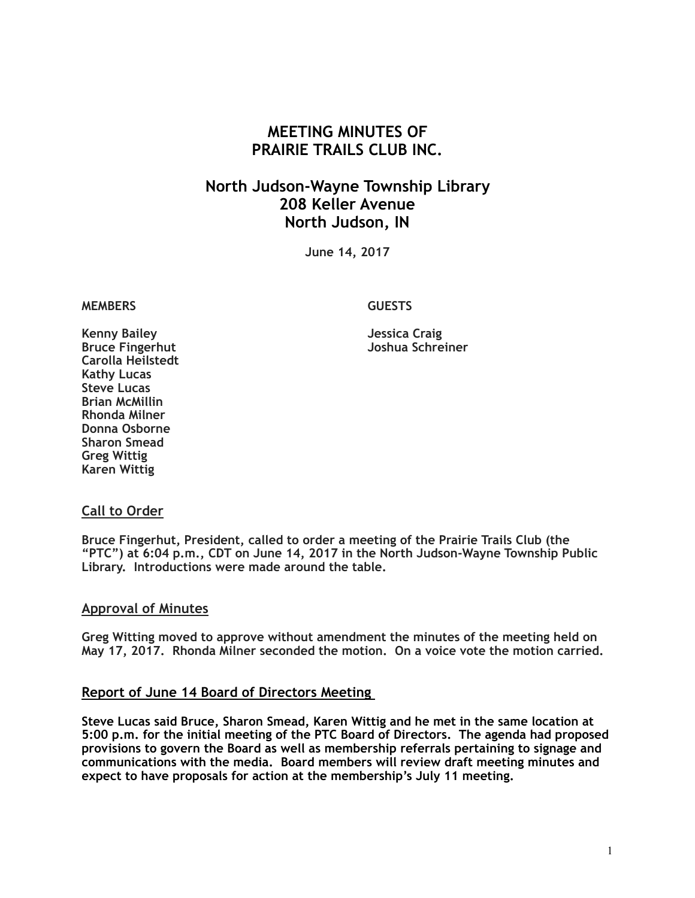# **MEETING MINUTES OF PRAIRIE TRAILS CLUB INC.**

# **North Judson-Wayne Township Library 208 Keller Avenue North Judson, IN**

**June 14, 2017**

#### **MEMBERS GUESTS**

**Joshua Schreiner** 

**Kenny Bailey Jessica Craig Carolla Heilstedt Kathy Lucas Steve Lucas Brian McMillin Rhonda Milner Donna Osborne Sharon Smead Greg Wittig Karen Wittig**

#### **Call to Order**

**Bruce Fingerhut, President, called to order a meeting of the Prairie Trails Club (the "PTC") at 6:04 p.m., CDT on June 14, 2017 in the North Judson-Wayne Township Public Library. Introductions were made around the table.**

#### **Approval of Minutes**

**Greg Witting moved to approve without amendment the minutes of the meeting held on May 17, 2017. Rhonda Milner seconded the motion. On a voice vote the motion carried.**

#### **Report of June 14 Board of Directors Meeting**

**Steve Lucas said Bruce, Sharon Smead, Karen Wittig and he met in the same location at 5:00 p.m. for the initial meeting of the PTC Board of Directors. The agenda had proposed provisions to govern the Board as well as membership referrals pertaining to signage and communications with the media. Board members will review draft meeting minutes and expect to have proposals for action at the membership's July 11 meeting.**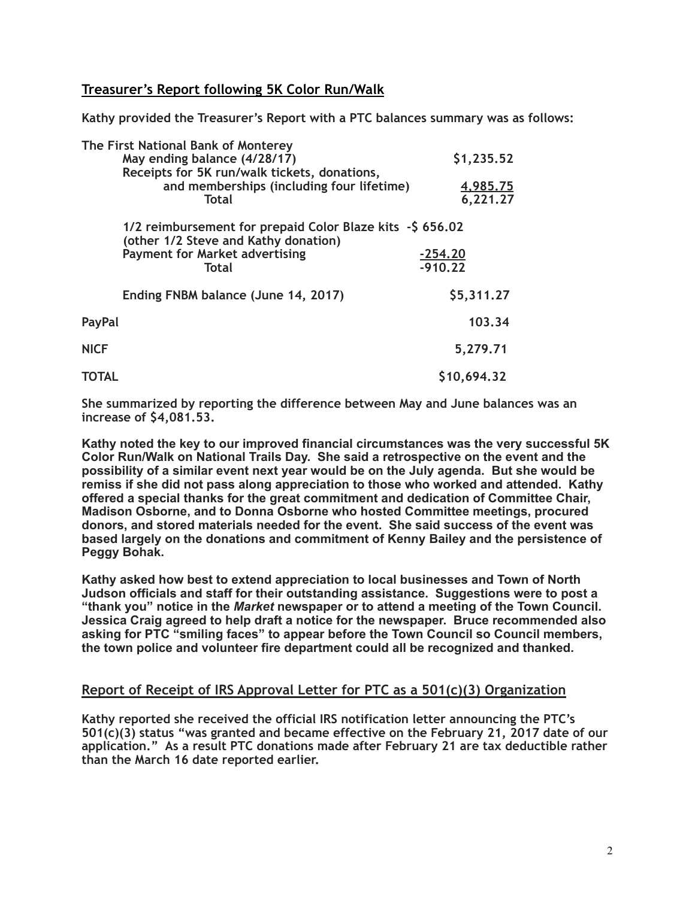## **Treasurer's Report following 5K Color Run/Walk**

**Kathy provided the Treasurer's Report with a PTC balances summary was as follows:** 

| The First National Bank of Monterey                                                               |                 |
|---------------------------------------------------------------------------------------------------|-----------------|
| May ending balance (4/28/17)                                                                      | \$1,235.52      |
| Receipts for 5K run/walk tickets, donations,                                                      |                 |
| and memberships (including four lifetime)                                                         | <u>4,985.75</u> |
| <b>Total</b>                                                                                      | 6,221.27        |
| 1/2 reimbursement for prepaid Color Blaze kits - \$656.02<br>(other 1/2 Steve and Kathy donation) |                 |
| <b>Payment for Market advertising</b>                                                             | $-254.20$       |
| <b>Total</b>                                                                                      | $-910.22$       |
| Ending FNBM balance (June 14, 2017)                                                               | \$5,311.27      |
| PayPal                                                                                            | 103.34          |
| <b>NICF</b>                                                                                       | 5,279.71        |
| TOTAL                                                                                             | \$10,694.32     |

**She summarized by reporting the difference between May and June balances was an increase of \$4,081.53.**

**Kathy noted the key to our improved financial circumstances was the very successful 5K Color Run/Walk on National Trails Day. She said a retrospective on the event and the possibility of a similar event next year would be on the July agenda. But she would be remiss if she did not pass along appreciation to those who worked and attended. Kathy offered a special thanks for the great commitment and dedication of Committee Chair, Madison Osborne, and to Donna Osborne who hosted Committee meetings, procured donors, and stored materials needed for the event. She said success of the event was based largely on the donations and commitment of Kenny Bailey and the persistence of Peggy Bohak.** 

**Kathy asked how best to extend appreciation to local businesses and Town of North Judson officials and staff for their outstanding assistance. Suggestions were to post a "thank you" notice in the** *Market* **newspaper or to attend a meeting of the Town Council. Jessica Craig agreed to help draft a notice for the newspaper. Bruce recommended also asking for PTC "smiling faces" to appear before the Town Council so Council members, the town police and volunteer fire department could all be recognized and thanked.** 

## **Report of Receipt of IRS Approval Letter for PTC as a 501(c)(3) Organization**

**Kathy reported she received the official IRS notification letter announcing the PTC's 501(c)(3) status "was granted and became effective on the February 21, 2017 date of our application." As a result PTC donations made after February 21 are tax deductible rather than the March 16 date reported earlier.**